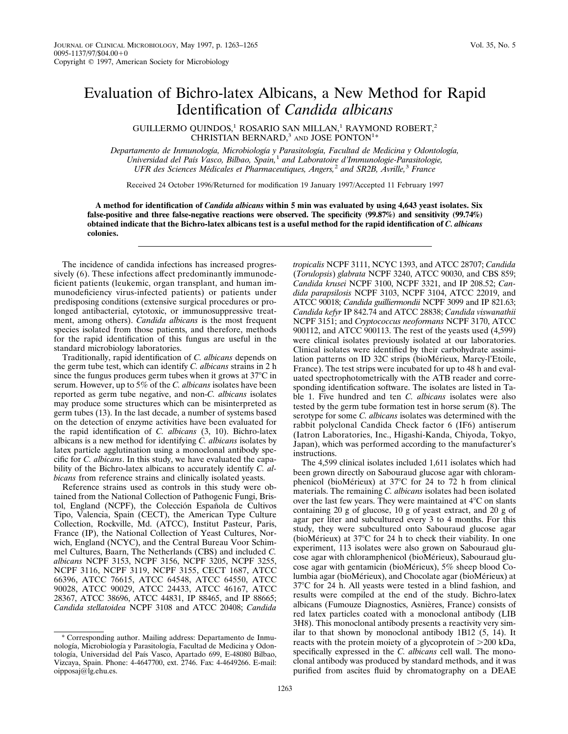## Evaluation of Bichro-latex Albicans, a New Method for Rapid Identification of *Candida albicans*

GUILLERMO QUINDOS,<sup>1</sup> ROSARIO SAN MILLAN,<sup>1</sup> RAYMOND ROBERT,<sup>2</sup> CHRISTIAN BERNARD, $3$  and JOSE PONTON<sup>1</sup>\*

*Departamento de Inmunologı´a, Microbiologı´a y Parasitologı´a, Facultad de Medicina y Odontologı´a, Universidad del Paı´s Vasco, Bilbao, Spain,*<sup>1</sup> *and Laboratoire d'Immunologie-Parasitologie, UFR des Sciences Me´dicales et Pharmaceutiques, Angers,*<sup>2</sup> *and SR2B, Avrille,*<sup>3</sup> *France*

Received 24 October 1996/Returned for modification 19 January 1997/Accepted 11 February 1997

**A method for identification of** *Candida albicans* **within 5 min was evaluated by using 4,643 yeast isolates. Six false-positive and three false-negative reactions were observed. The specificity (99.87%) and sensitivity (99.74%) obtained indicate that the Bichro-latex albicans test is a useful method for the rapid identification of** *C. albicans* **colonies.**

The incidence of candida infections has increased progressively (6). These infections affect predominantly immunodeficient patients (leukemic, organ transplant, and human immunodeficiency virus-infected patients) or patients under predisposing conditions (extensive surgical procedures or prolonged antibacterial, cytotoxic, or immunosuppressive treatment, among others). *Candida albicans* is the most frequent species isolated from those patients, and therefore, methods for the rapid identification of this fungus are useful in the standard microbiology laboratories.

Traditionally, rapid identification of *C. albicans* depends on the germ tube test, which can identify *C. albicans* strains in 2 h since the fungus produces germ tubes when it grows at  $37^{\circ}$ C in serum. However, up to 5% of the *C. albicans* isolates have been reported as germ tube negative, and non-*C. albicans* isolates may produce some structures which can be misinterpreted as germ tubes (13). In the last decade, a number of systems based on the detection of enzyme activities have been evaluated for the rapid identification of *C. albicans* (3, 10). Bichro-latex albicans is a new method for identifying *C. albicans* isolates by latex particle agglutination using a monoclonal antibody specific for *C. albicans*. In this study, we have evaluated the capability of the Bichro-latex albicans to accurately identify *C. albicans* from reference strains and clinically isolated yeasts.

Reference strains used as controls in this study were obtained from the National Collection of Pathogenic Fungi, Bristol, England (NCPF), the Colección Española de Cultivos Tipo, Valencia, Spain (CECT), the American Type Culture Collection, Rockville, Md. (ATCC), Institut Pasteur, Paris, France (IP), the National Collection of Yeast Cultures, Norwich, England (NCYC), and the Central Bureau Voor Schimmel Cultures, Baarn, The Netherlands (CBS) and included *C. albicans* NCPF 3153, NCPF 3156, NCPF 3205, NCPF 3255, NCPF 3116, NCPF 3119, NCPF 3155, CECT 1687, ATCC 66396, ATCC 76615, ATCC 64548, ATCC 64550, ATCC 90028, ATCC 90029, ATCC 24433, ATCC 46167, ATCC 28367, ATCC 38696, ATCC 44831, IP 88465, and IP 88665; *Candida stellatoidea* NCPF 3108 and ATCC 20408; *Candida*

*tropicalis* NCPF 3111, NCYC 1393, and ATCC 28707; *Candida* (*Torulopsis*) *glabrata* NCPF 3240, ATCC 90030, and CBS 859; *Candida krusei* NCPF 3100, NCPF 3321, and IP 208.52; *Candida parapsilosis* NCPF 3103, NCPF 3104, ATCC 22019, and ATCC 90018; *Candida guilliermondii* NCPF 3099 and IP 821.63; *Candida kefyr* IP 842.74 and ATCC 28838; *Candida viswanathii* NCPF 3151; and *Cryptococcus neoformans* NCPF 3170, ATCC 900112, and ATCC 900113. The rest of the yeasts used (4,599) were clinical isolates previously isolated at our laboratories. Clinical isolates were identified by their carbohydrate assimilation patterns on ID 32C strips (bioMérieux, Marcy-l'Etoile, France). The test strips were incubated for up to 48 h and evaluated spectrophotometrically with the ATB reader and corresponding identification software. The isolates are listed in Table 1. Five hundred and ten *C. albicans* isolates were also tested by the germ tube formation test in horse serum (8). The serotype for some *C. albicans* isolates was determined with the rabbit polyclonal Candida Check factor 6 (IF6) antiserum (Iatron Laboratories, Inc., Higashi-Kanda, Chiyoda, Tokyo, Japan), which was performed according to the manufacturer's instructions.

The 4,599 clinical isolates included 1,611 isolates which had been grown directly on Sabouraud glucose agar with chloramphenicol (bioMérieux) at  $37^{\circ}$ C for 24 to 72 h from clinical materials. The remaining *C. albicans* isolates had been isolated over the last few years. They were maintained at  $4^{\circ}$ C on slants containing 20 g of glucose, 10 g of yeast extract, and 20 g of agar per liter and subcultured every 3 to 4 months. For this study, they were subcultured onto Sabouraud glucose agar (bioMérieux) at  $37^{\circ}$ C for 24 h to check their viability. In one experiment, 113 isolates were also grown on Sabouraud glucose agar with chloramphenicol (bioMérieux), Sabouraud glucose agar with gentamicin (bioMérieux),  $5\%$  sheep blood Columbia agar (bioMérieux), and Chocolate agar (bioMérieux) at 37°C for 24 h. All yeasts were tested in a blind fashion, and results were compiled at the end of the study. Bichro-latex albicans (Fumouze Diagnostics, Asnières, France) consists of red latex particles coated with a monoclonal antibody (LIB 3H8). This monoclonal antibody presents a reactivity very similar to that shown by monoclonal antibody 1B12 (5, 14). It reacts with the protein moiety of a glycoprotein of  $>200$  kDa, specifically expressed in the *C. albicans* cell wall. The monoclonal antibody was produced by standard methods, and it was purified from ascites fluid by chromatography on a DEAE

<sup>\*</sup> Corresponding author. Mailing address: Departamento de Inmunología, Microbiología y Parasitología, Facultad de Medicina y Odontología, Universidad del País Vasco, Apartado 699, E-48080 Bilbao, Vizcaya, Spain. Phone: 4-4647700, ext. 2746. Fax: 4-4649266. E-mail: oipposaj@lg.ehu.es.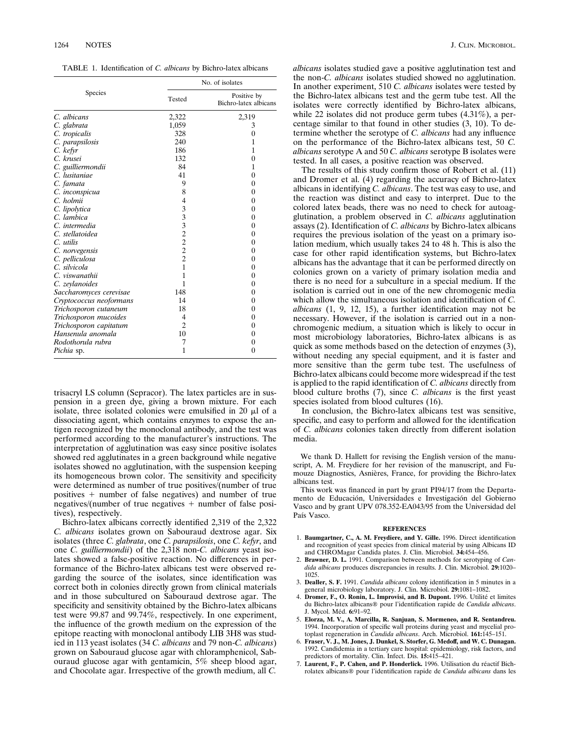TABLE 1. Identification of *C. albicans* by Bichro-latex albicans

| Species                 | No. of isolates |                                      |
|-------------------------|-----------------|--------------------------------------|
|                         | Tested          | Positive by<br>Bichro-latex albicans |
| C. albicans             | 2,322           | 2,319                                |
| C. glabrata             | 1,059           | 3                                    |
| C. tropicalis           | 328             | $\overline{0}$                       |
| C. parapsilosis         | 240             | 1                                    |
| C. kefyr                | 186             | 1                                    |
| C. krusei               | 132             | 0                                    |
| C. guilliermondii       | 84              | 1                                    |
| C. lusitaniae           | 41              | 0                                    |
| C. famata               | 9               | 0                                    |
| C. inconspicua          | 8               | 0                                    |
| C. holmii               | 4               | 0                                    |
| C. lipolytica           | 3332222         | 0                                    |
| C. lambica              |                 | 0                                    |
| C. intermedia           |                 | 0                                    |
| C. stellatoidea         |                 | 0                                    |
| $C.$ utilis             |                 | 0                                    |
| C. norvegensis          |                 | 0                                    |
| C. pelliculosa          |                 | 0                                    |
| C. silvicola            | $\overline{1}$  | 0                                    |
| C. viswanathii          | 1               | 0                                    |
| C. zeylanoides          | 1               | 0                                    |
| Saccharomyces cerevisae | 148             | 0                                    |
| Cryptococcus neoformans | 14              | 0                                    |
| Trichosporon cutaneum   | 18              | 0                                    |
| Trichosporon mucoides   | 4               | 0                                    |
| Trichosporon capitatum  | $\overline{2}$  | 0                                    |
| Hansenula anomala       | 10              | 0                                    |
| Rodothorula rubra       | 7               | 0                                    |
| Pichia sp.              | 1               | $\boldsymbol{0}$                     |

trisacryl LS column (Sepracor). The latex particles are in suspension in a green dye, giving a brown mixture. For each isolate, three isolated colonies were emulsified in 20  $\mu$ l of a dissociating agent, which contains enzymes to expose the antigen recognized by the monoclonal antibody, and the test was performed according to the manufacturer's instructions. The interpretation of agglutination was easy since positive isolates showed red agglutinates in a green background while negative isolates showed no agglutination, with the suspension keeping its homogeneous brown color. The sensitivity and specificity were determined as number of true positives/(number of true positives  $+$  number of false negatives) and number of true negatives/(number of true negatives  $+$  number of false positives), respectively.

Bichro-latex albicans correctly identified 2,319 of the 2,322 *C. albicans* isolates grown on Sabouraud dextrose agar. Six isolates (three *C. glabrata*, one *C. parapsilosis*, one *C. kefyr*, and one *C. guilliermondii*) of the 2,318 non-*C. albicans* yeast isolates showed a false-positive reaction. No differences in performance of the Bichro-latex albicans test were observed regarding the source of the isolates, since identification was correct both in colonies directly grown from clinical materials and in those subcultured on Sabouraud dextrose agar. The specificity and sensitivity obtained by the Bichro-latex albicans test were 99.87 and 99.74%, respectively. In one experiment, the influence of the growth medium on the expression of the epitope reacting with monoclonal antibody LIB 3H8 was studied in 113 yeast isolates (34 *C. albicans* and 79 non-*C. albicans*) grown on Sabouraud glucose agar with chloramphenicol, Sabouraud glucose agar with gentamicin, 5% sheep blood agar, and Chocolate agar. Irrespective of the growth medium, all *C.*

*albicans* isolates studied gave a positive agglutination test and the non-*C. albicans* isolates studied showed no agglutination. In another experiment, 510 *C. albicans* isolates were tested by the Bichro-latex albicans test and the germ tube test. All the isolates were correctly identified by Bichro-latex albicans, while 22 isolates did not produce germ tubes (4.31%), a percentage similar to that found in other studies (3, 10). To determine whether the serotype of *C. albicans* had any influence on the performance of the Bichro-latex albicans test, 50 *C. albicans* serotype A and 50 *C. albicans* serotype B isolates were tested. In all cases, a positive reaction was observed.

The results of this study confirm those of Robert et al. (11) and Dromer et al. (4) regarding the accuracy of Bichro-latex albicans in identifying *C. albicans*. The test was easy to use, and the reaction was distinct and easy to interpret. Due to the colored latex beads, there was no need to check for autoagglutination, a problem observed in *C. albicans* agglutination assays (2). Identification of *C. albicans* by Bichro-latex albicans requires the previous isolation of the yeast on a primary isolation medium, which usually takes 24 to 48 h. This is also the case for other rapid identification systems, but Bichro-latex albicans has the advantage that it can be performed directly on colonies grown on a variety of primary isolation media and there is no need for a subculture in a special medium. If the isolation is carried out in one of the new chromogenic media which allow the simultaneous isolation and identification of *C. albicans* (1, 9, 12, 15), a further identification may not be necessary. However, if the isolation is carried out in a nonchromogenic medium, a situation which is likely to occur in most microbiology laboratories, Bichro-latex albicans is as quick as some methods based on the detection of enzymes (3), without needing any special equipment, and it is faster and more sensitive than the germ tube test. The usefulness of Bichro-latex albicans could become more widespread if the test is applied to the rapid identification of *C. albicans* directly from blood culture broths (7), since *C. albicans* is the first yeast species isolated from blood cultures (16).

In conclusion, the Bichro-latex albicans test was sensitive, specific, and easy to perform and allowed for the identification of *C. albicans* colonies taken directly from different isolation media.

We thank D. Hallett for revising the English version of the manuscript, A. M. Freydiere for her revision of the manuscript, and Fumouze Diagnostics, Asnières, France, for providing the Bichro-latex albicans test.

This work was financed in part by grant PI94/17 from the Departamento de Educación, Universidades e Investigación del Gobierno Vasco and by grant UPV 078.352-EA043/95 from the Universidad del País Vasco.

## **REFERENCES**

- 1. **Baumgartner, C., A. M. Freydiere, and Y. Gille.** 1996. Direct identification and recognition of yeast species from clinical material by using Albicans ID and CHROMagar Candida plates. J. Clin. Microbiol. **34:**454–456.
- 2. **Brawner, D. L.** 1991. Comparison between methods for serotyping of *Candida albicans* produces discrepancies in results. J. Clin. Microbiol. **29:**1020– 1025.
- 3. **Dealler, S. F.** 1991. *Candida albicans* colony identification in 5 minutes in a general microbiology laboratory. J. Clin. Microbiol. **29:**1081–1082.
- 4. Dromer, F., O. Ronin, L. Improvisi, and B. Dupont. 1996. Utilité et limites du Bichro-latex albicans® pour l'identification rapide de *Candida albicans*. J. Mycol. Me´d. **6:**91–92.
- 5. **Elorza, M. V., A. Marcilla, R. Sanjuan, S. Mormeneo, and R. Sentandreu.** 1994. Incorporation of specific wall proteins during yeast and mycelial protoplast regeneration in *Candida albicans*. Arch. Microbiol. **161:**145–151.
- 6. **Fraser, V. J., M. Jones, J. Dunkel, S. Storfer, G. Medoff, and W. C. Dunagan.** 1992. Candidemia in a tertiary care hospital: epidemiology, risk factors, and predictors of mortality. Clin. Infect. Dis. **15:**415–421.
- 7. **Laurent, F., P. Cahen, and P. Honderlick.** 1996. Utilisation du réactif Bichrolatex albicans<sup>®</sup> pour l'identification rapide de *Candida albicans* dans les